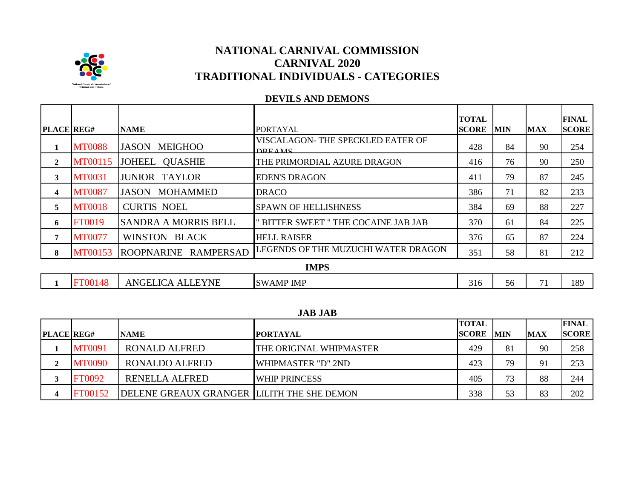

## **DEVILS AND DEMONS**

| <b>PLACE REG#</b> |                | <b>NAME</b>                    | <b>PORTAYAL</b>                                    | TOTAL<br><b>SCORE</b> | <b>MIN</b> | <b>MAX</b> | <b>FINAL</b><br><b>SCORE</b> |
|-------------------|----------------|--------------------------------|----------------------------------------------------|-----------------------|------------|------------|------------------------------|
| 1                 | <b>MT0088</b>  | <b>MEIGHOO</b><br><b>JASON</b> | VISCALAGON- THE SPECKLED EATER OF<br><b>DREAMS</b> | 428                   | 84         | 90         | 254                          |
| $\mathbf{2}$      | MT00115        | JOHEEL QUASHIE                 | THE PRIMORDIAL AZURE DRAGON                        | 416                   | 76         | 90         | 250                          |
| 3                 | <b>MT0031</b>  | <b>JUNIOR TAYLOR</b>           | <b>EDEN'S DRAGON</b>                               | 411                   | 79         | 87         | 245                          |
| 4                 | <b>MT0087</b>  | JASON MOHAMMED                 | <b>DRACO</b>                                       | 386                   | 71         | 82         | 233                          |
| 5                 | <b>MT0018</b>  | <b>CURTIS NOEL</b>             | <b>SPAWN OF HELLISHNESS</b>                        | 384                   | 69         | 88         | 227                          |
| 6                 | <b>FT0019</b>  | <b>SANDRA A MORRIS BELL</b>    | " BITTER SWEET " THE COCAINE JAB JAB               | 370                   | 61         | 84         | 225                          |
| 7                 | <b>MT0077</b>  | WINSTON BLACK                  | <b>HELL RAISER</b>                                 | 376                   | 65         | 87         | 224                          |
| 8                 | MT00153        | ROOPNARINE RAMPERSAD           | LEGENDS OF THE MUZUCHI WATER DRAGON                | 351                   | 58         | 81         | 212                          |
|                   |                |                                | <b>IMPS</b>                                        |                       |            |            |                              |
|                   | <b>FT00148</b> | ANGELICA ALLEYNE               | <b>SWAMP IMP</b>                                   | 316                   | 56         | 71         | 189                          |

## **JAB JAB**

|                   |                |                                            |                           | <b>TOTAL</b> |            |            | <b>FINAL</b> |
|-------------------|----------------|--------------------------------------------|---------------------------|--------------|------------|------------|--------------|
| <b>PLACE REG#</b> |                | <b>NAME</b>                                | <b>IPORTAYAL</b>          | <b>SCORE</b> | <b>MIN</b> | <b>MAX</b> | <b>SCORE</b> |
|                   | <b>MT0091</b>  | <b>RONALD ALFRED</b>                       | THE ORIGINAL WHIPMASTER   | 429          | 81         | 90         | 258          |
|                   | <b>MT0090</b>  | <b>RONALDO ALFRED</b>                      | <b>WHIPMASTER "D" 2ND</b> | 423          | 79         | 91         | 253          |
|                   | <b>FT0092</b>  | <b>RENELLA ALFRED</b>                      | <b>WHIP PRINCESS</b>      | 405          | 73         | 88         | 244          |
|                   | <b>FT00152</b> | DELENE GREAUX GRANGER LILITH THE SHE DEMON |                           | 338          | 53         | 83         | 202          |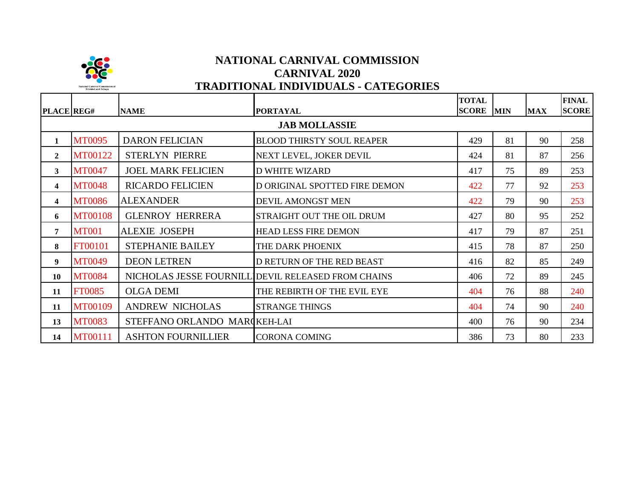

| <b>PLACE</b> REG#       |                      | <b>NAME</b>                  | <b>PORTAYAL</b>                                    | <b>TOTAL</b><br><b>SCORE</b> MIN |    | <b>MAX</b> | <b>FINAL</b><br><b>SCORE</b> |  |  |  |  |  |
|-------------------------|----------------------|------------------------------|----------------------------------------------------|----------------------------------|----|------------|------------------------------|--|--|--|--|--|
|                         | <b>JAB MOLLASSIE</b> |                              |                                                    |                                  |    |            |                              |  |  |  |  |  |
| 1                       | <b>MT0095</b>        | <b>DARON FELICIAN</b>        | <b>BLOOD THIRSTY SOUL REAPER</b>                   | 429                              | 81 | 90         | 258                          |  |  |  |  |  |
| $\overline{2}$          | MT00122              | <b>STERLYN PIERRE</b>        | NEXT LEVEL, JOKER DEVIL                            | 424                              | 81 | 87         | 256                          |  |  |  |  |  |
| 3                       | <b>MT0047</b>        | <b>JOEL MARK FELICIEN</b>    | <b>D WHITE WIZARD</b>                              | 417                              | 75 | 89         | 253                          |  |  |  |  |  |
| $\overline{\mathbf{4}}$ | <b>MT0048</b>        | <b>RICARDO FELICIEN</b>      | D ORIGINAL SPOTTED FIRE DEMON                      | 422                              | 77 | 92         | 253                          |  |  |  |  |  |
| $\overline{\mathbf{4}}$ | <b>MT0086</b>        | <b>ALEXANDER</b>             | DEVIL AMONGST MEN                                  | 422                              | 79 | 90         | 253                          |  |  |  |  |  |
| 6                       | <b>MT00108</b>       | <b>GLENROY HERRERA</b>       | STRAIGHT OUT THE OIL DRUM                          | 427                              | 80 | 95         | 252                          |  |  |  |  |  |
| 7                       | <b>MT001</b>         | <b>ALEXIE JOSEPH</b>         | <b>HEAD LESS FIRE DEMON</b>                        | 417                              | 79 | 87         | 251                          |  |  |  |  |  |
| 8                       | FT00101              | <b>STEPHANIE BAILEY</b>      | THE DARK PHOENIX                                   | 415                              | 78 | 87         | 250                          |  |  |  |  |  |
| 9                       | <b>MT0049</b>        | <b>DEON LETREN</b>           | D RETURN OF THE RED BEAST                          | 416                              | 82 | 85         | 249                          |  |  |  |  |  |
| 10                      | <b>MT0084</b>        |                              | NICHOLAS JESSE FOURNILL DEVIL RELEASED FROM CHAINS | 406                              | 72 | 89         | 245                          |  |  |  |  |  |
| 11                      | <b>FT0085</b>        | <b>OLGA DEMI</b>             | THE REBIRTH OF THE EVIL EYE                        | 404                              | 76 | 88         | 240                          |  |  |  |  |  |
| 11                      | MT00109              | <b>ANDREW NICHOLAS</b>       | <b>STRANGE THINGS</b>                              | 404                              | 74 | 90         | 240                          |  |  |  |  |  |
| 13                      | <b>MT0083</b>        | STEFFANO ORLANDO MARCKEH-LAI |                                                    | 400                              | 76 | 90         | 234                          |  |  |  |  |  |
| 14                      | MT00111              | <b>ASHTON FOURNILLIER</b>    | <b>CORONA COMING</b>                               | 386                              | 73 | 80         | 233                          |  |  |  |  |  |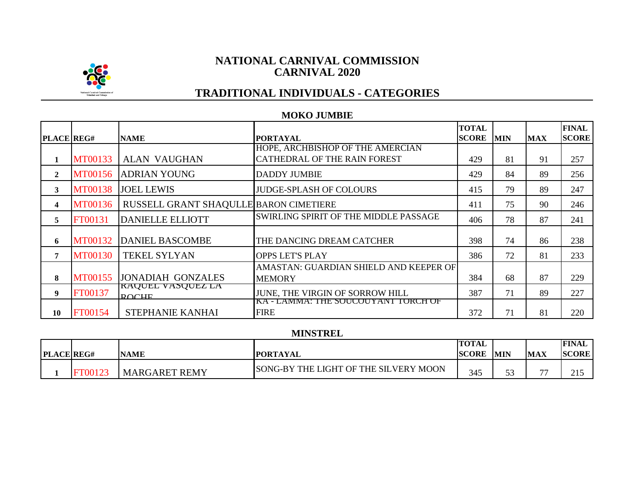

## **NATIONAL CARNIVAL COMMISSION CARNIVAL 2020**

# **TRADITIONAL INDIVIDUALS - CATEGORIES**

## **MOKO JUMBIE**

| <b>PLACE REG#</b> |                | <b>NAME</b>                              | <b>PORTAYAL</b>                                    | <b>TOTAL</b><br><b>SCORE</b> | <b>MIN</b> | <b>MAX</b> | <b>FINAL</b><br><b>SCORE</b> |
|-------------------|----------------|------------------------------------------|----------------------------------------------------|------------------------------|------------|------------|------------------------------|
|                   |                |                                          | HOPE, ARCHBISHOP OF THE AMERCIAN                   |                              |            |            |                              |
|                   | MT00133        | <b>ALAN VAUGHAN</b>                      | CATHEDRAL OF THE RAIN FOREST                       | 429                          | 81         | 91         | 257                          |
| $\mathbf{2}$      | <b>MT00156</b> | <b>ADRIAN YOUNG</b>                      | <b>DADDY JUMBIE</b>                                | 429                          | 84         | 89         | 256                          |
| 3                 | <b>MT00138</b> | <b>JOEL LEWIS</b>                        | <b>JUDGE-SPLASH OF COLOURS</b>                     | 415                          | 79         | 89         | 247                          |
| 4                 | <b>MT00136</b> | RUSSELL GRANT SHAQULLE BARON CIMETIERE   |                                                    | 411                          | 75         | 90         | 246                          |
| 5                 | FT00131        | <b>DANIELLE ELLIOTT</b>                  | SWIRLING SPIRIT OF THE MIDDLE PASSAGE              | 406                          | 78         | 87         | 241                          |
| 6                 | <b>MT00132</b> | <b>DANIEL BASCOMBE</b>                   | THE DANCING DREAM CATCHER                          | 398                          | 74         | 86         | 238                          |
| 7                 | <b>MT00130</b> | <b>TEKEL SYLYAN</b>                      | <b>OPPS LET'S PLAY</b>                             | 386                          | 72         | 81         | 233                          |
|                   |                |                                          | AMASTAN: GUARDIAN SHIELD AND KEEPER OF             |                              |            |            |                              |
| 8                 | <b>MT00155</b> | <b>JONADIAH GONZALES</b>                 | <b>MEMORY</b>                                      | 384                          | 68         | 87         | 229                          |
| 9                 | FT00137        | <b>RAQUEL VASQUEZ LA</b><br><b>ROCHE</b> | JUNE, THE VIRGIN OF SORROW HILL                    | 387                          | 71         | 89         | 227                          |
| 10                | <b>FT00154</b> | STEPHANIE KANHAI                         | KA - LAMMA: THE SOUCOUYANT TORCH OF<br><b>FIRE</b> | 372                          | 71         | 81         | 220                          |

## **MINSTREL**

|                   |                                |                                                   | <b>TOTAL</b> |            |                          | <b>FINAL</b>               |
|-------------------|--------------------------------|---------------------------------------------------|--------------|------------|--------------------------|----------------------------|
| <b>PLACE REG#</b> | <b>NAME</b>                    | <b>'PORTAYAL</b>                                  | <b>SCORE</b> | <b>MIN</b> | <b>MAX</b>               | <b>SCORE</b>               |
|                   | <b>REMY</b><br><b>MARGARET</b> | LIGHT OF THE SILVERY MOON<br><b>SONG-BY THE L</b> | 345          | ັບ         | $\overline{\phantom{a}}$ | $\sim$ 1 $\prime$<br>ل 1 ب |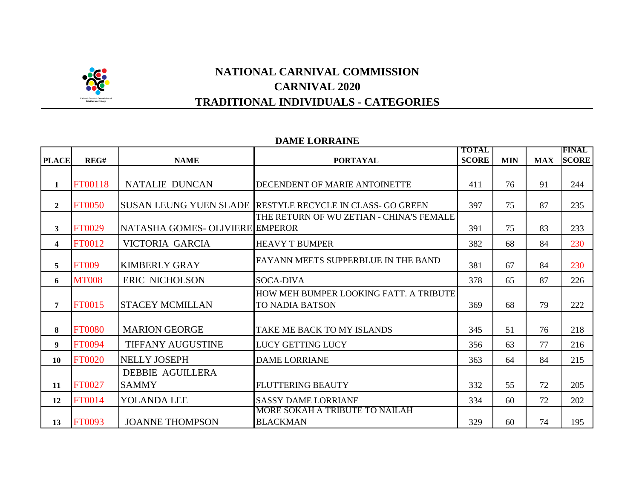

## **DAME LORRAINE**

|                         |               |                                 |                                                                  | <b>TOTAL</b> |            |            | <b>FINAL</b> |
|-------------------------|---------------|---------------------------------|------------------------------------------------------------------|--------------|------------|------------|--------------|
| <b>PLACE</b>            | REG#          | <b>NAME</b>                     | <b>PORTAYAL</b>                                                  | <b>SCORE</b> | <b>MIN</b> | <b>MAX</b> | <b>SCORE</b> |
| $\mathbf{1}$            | FT00118       | <b>NATALIE DUNCAN</b>           | DECENDENT OF MARIE ANTOINETTE                                    | 411          | 76         | 91         | 244          |
| $\mathbf{2}$            | <b>FT0050</b> |                                 | SUSAN LEUNG YUEN SLADE RESTYLE RECYCLE IN CLASS- GO GREEN        | 397          | 75         | 87         | 235          |
| 3                       | <b>FT0029</b> | NATASHA GOMES- OLIVIERE EMPEROR | THE RETURN OF WU ZETIAN - CHINA'S FEMALE                         | 391          | 75         | 83         | 233          |
| $\overline{\mathbf{4}}$ | <b>FT0012</b> | VICTORIA GARCIA                 | <b>HEAVY T BUMPER</b>                                            | 382          | 68         | 84         | 230          |
| 5                       | <b>FT009</b>  | <b>KIMBERLY GRAY</b>            | FAYANN MEETS SUPPERBLUE IN THE BAND                              | 381          | 67         | 84         | 230          |
| 6                       | <b>MT008</b>  | ERIC NICHOLSON                  | <b>SOCA-DIVA</b>                                                 | 378          | 65         | 87         | 226          |
| 7                       | <b>FT0015</b> | <b>STACEY MCMILLAN</b>          | HOW MEH BUMPER LOOKING FATT. A TRIBUTE<br><b>TO NADIA BATSON</b> | 369          | 68         | 79         | 222          |
| 8                       | <b>FT0080</b> | <b>MARION GEORGE</b>            | TAKE ME BACK TO MY ISLANDS                                       | 345          | 51         | 76         | 218          |
| 9                       | FT0094        | <b>TIFFANY AUGUSTINE</b>        | LUCY GETTING LUCY                                                | 356          | 63         | 77         | 216          |
| 10                      | <b>FT0020</b> | <b>NELLY JOSEPH</b>             | <b>DAME LORRIANE</b>                                             | 363          | 64         | 84         | 215          |
|                         |               | <b>DEBBIE AGUILLERA</b>         |                                                                  |              |            |            |              |
| 11                      | <b>FT0027</b> | <b>SAMMY</b>                    | <b>FLUTTERING BEAUTY</b>                                         | 332          | 55         | 72         | 205          |
| 12                      | <b>FT0014</b> | YOLANDA LEE                     | <b>SASSY DAME LORRIANE</b>                                       | 334          | 60         | 72         | 202          |
| 13                      | <b>FT0093</b> | <b>JOANNE THOMPSON</b>          | MORE SOKAH A TRIBUTE TO NAILAH<br><b>BLACKMAN</b>                | 329          | 60         | 74         | 195          |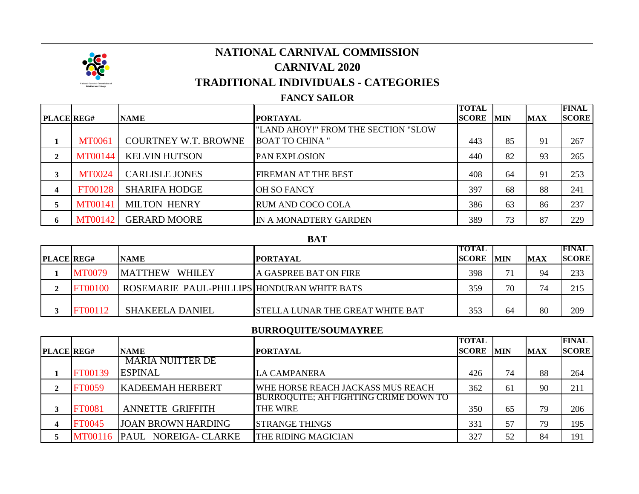

# **CARNIVAL 2020 TRADITIONAL INDIVIDUALS - CATEGORIES NATIONAL CARNIVAL COMMISSION**

## **FANCY SAILOR**

|                   |                |                             |                                     | <b>TOTAL</b> |            |            | <b>FINAL</b> |
|-------------------|----------------|-----------------------------|-------------------------------------|--------------|------------|------------|--------------|
| <b>PLACE REG#</b> |                | <b>NAME</b>                 | <b>PORTAYAL</b>                     | <b>SCORE</b> | <b>MIN</b> | <b>MAX</b> | <b>SCORE</b> |
|                   |                |                             | "LAND AHOY!" FROM THE SECTION "SLOW |              |            |            |              |
|                   | <b>MT0061</b>  | <b>COURTNEY W.T. BROWNE</b> | <b>BOAT TO CHINA "</b>              | 443          | 85         | 91         | 267          |
| 2                 | <b>MT00144</b> | <b>KELVIN HUTSON</b>        | <b>PAN EXPLOSION</b>                | 440          | 82         | 93         | 265          |
| 3                 | <b>MT0024</b>  | <b>CARLISLE JONES</b>       | FIREMAN AT THE BEST                 | 408          | 64         | 91         | 253          |
| $\boldsymbol{4}$  | FT00128        | <b>SHARIFA HODGE</b>        | <b>OH SO FANCY</b>                  | 397          | 68         | 88         | 241          |
| 5                 | <b>MT00141</b> | <b>MILTON HENRY</b>         | RUM AND COCO COLA                   | 386          | 63         | 86         | 237          |
| 6                 | MT00142        | <b>GERARD MOORE</b>         | IN A MONADTERY GARDEN               | 389          | 73         | 87         | 229          |

#### **BAT**

|                   |                |                                             |                                         | TOTAL        |            |            | <b>FINAL</b> |
|-------------------|----------------|---------------------------------------------|-----------------------------------------|--------------|------------|------------|--------------|
| <b>PLACE REG#</b> |                | <b>NAME</b>                                 | IPORTAYAL                               | <b>SCORE</b> | <b>MIN</b> | <b>MAX</b> | <b>SCORE</b> |
|                   | <b>MT0079</b>  | <b>WHILEY</b><br><b>MATTHEW</b>             | A GASPREE BAT ON FIRE                   | 398          |            | 94         | 233          |
|                   | <b>FT00100</b> | ROSEMARIE PAUL-PHILLIPS HONDURAN WHITE BATS |                                         | 359          | 70         | 71         | 215          |
|                   |                |                                             |                                         |              |            |            |              |
|                   | FT00112        | <b>SHAKEELA DANIEL</b>                      | <b>STELLA LUNAR THE GREAT WHITE BAT</b> | 353          | 64         | 80         | 209          |

## **BURROQUITE/SOUMAYREE**

|                   |               |                           |                                       | <b>TOTAL</b> |             |            | <b>FINAL</b> |
|-------------------|---------------|---------------------------|---------------------------------------|--------------|-------------|------------|--------------|
| <b>PLACE REG#</b> |               | <b>NAME</b>               | <b>PORTAYAL</b>                       | <b>SCORE</b> | <b>IMIN</b> | <b>MAX</b> | <b>SCORE</b> |
|                   |               | <b>MARIA NUITTER DE</b>   |                                       |              |             |            |              |
|                   | FT00139       | <b>ESPINAL</b>            | LA CAMPANERA                          | 426          | 74          | 88         | 264          |
|                   | <b>FT0059</b> | <b>KADEEMAH HERBERT</b>   | WHE HORSE REACH JACKASS MUS REACH     | 362          | 61          | 90         | 211          |
|                   |               |                           | BURROQUITE; AH FIGHTING CRIME DOWN TO |              |             |            |              |
|                   | <b>FT0081</b> | <b>ANNETTE GRIFFITH</b>   | <b>THE WIRE</b>                       | 350          | 65          | 79         | 206          |
|                   | FT0045        | <b>JOAN BROWN HARDING</b> | <b>ISTRANGE THINGS</b>                | 331          | 57          | 79         | 195          |
|                   | MT00116       | PAUL NOREIGA- CLARKE      | <b>THE RIDING MAGICIAN</b>            | 327          | 52          | 84         | 191          |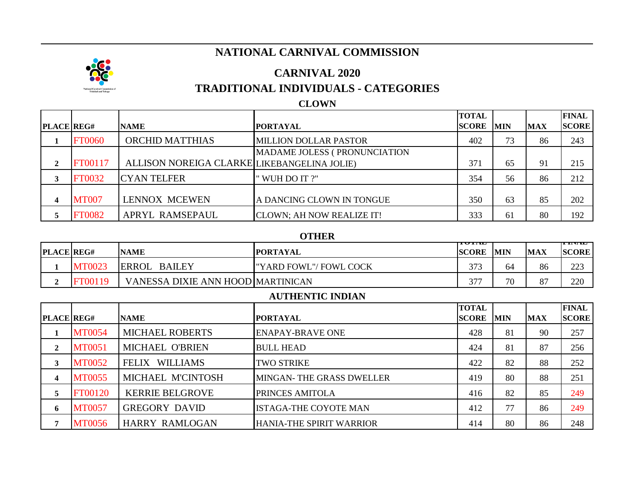# **NATIONAL CARNIVAL COMMISSION**



## **CARNIVAL 2020**

## **TRADITIONAL INDIVIDUALS - CATEGORIES**

## **CLOWN**

|                   |                |                                             |                                   | <b>TOTAL</b> |            |            | <b>FINAL</b> |
|-------------------|----------------|---------------------------------------------|-----------------------------------|--------------|------------|------------|--------------|
| <b>PLACE REG#</b> |                | <b>NAME</b>                                 | <b>PORTAYAL</b>                   | <b>SCORE</b> | <b>MIN</b> | <b>MAX</b> | <b>SCORE</b> |
|                   | <b>FT0060</b>  | <b>ORCHID MATTHIAS</b>                      | <b>MILLION DOLLAR PASTOR</b>      | 402          | 73         | 86         | 243          |
|                   |                |                                             | MADAME JOLESS (PRONUNCIATION      |              |            |            |              |
| ↑                 | <b>FT00117</b> | ALLISON NOREIGA CLARKE LIKEBANGELINA JOLIE) |                                   | 371          | 65         | 91         | 215          |
|                   | <b>FT0032</b>  | <b>CYAN TELFER</b>                          | " WUH DO IT ?"                    | 354          | 56         | 86         | 212          |
|                   | <b>MT007</b>   | <b>LENNOX MCEWEN</b>                        | A DANCING CLOWN IN TONGUE         | 350          | 63         | 85         | 202          |
|                   | <b>FT0082</b>  | APRYL RAMSEPAUL                             | <b>CLOWN</b> ; AH NOW REALIZE IT! | 333          | 61         | 80         | 192          |

## **OTHER**

|                   | $\mathbf v$   |                                   |                         |                       |            |                      |                           |  |  |  |  |  |
|-------------------|---------------|-----------------------------------|-------------------------|-----------------------|------------|----------------------|---------------------------|--|--|--|--|--|
| <b>PLACE REG#</b> |               | <b>NAME</b>                       | <b>IPORTAYAL</b>        | 101.W<br><b>SCORE</b> | <b>MIN</b> | <b>MAX</b>           | ---------<br><b>SCORE</b> |  |  |  |  |  |
|                   | <b>MT0023</b> | <b>ERROL</b><br><b>BAILEY</b>     | I"YARD FOWL"/ FOWL COCK | 373                   | 64         | 86                   | 223<br>ل کا ک             |  |  |  |  |  |
|                   | T00119        | VANESSA DIXIE ANN HOOD MARTINICAN |                         | $\sim$                | 70         | O <sub>7</sub><br>٥, | 220                       |  |  |  |  |  |

#### **AUTHENTIC INDIAN**

|                   |               |                                 |                                 | <b>TOTAL</b> |            |            | <b>FINAL</b> |
|-------------------|---------------|---------------------------------|---------------------------------|--------------|------------|------------|--------------|
| <b>PLACE REG#</b> |               | <b>NAME</b>                     | <b>PORTAYAL</b>                 | <b>SCORE</b> | <b>MIN</b> | <b>MAX</b> | <b>SCORE</b> |
|                   | <b>MT0054</b> | <b>MICHAEL ROBERTS</b>          | <b>ENAPAY-BRAVE ONE</b>         | 428          | 81         | 90         | 257          |
| 2                 | <b>MT0051</b> | MICHAEL O'BRIEN                 | <b>BULL HEAD</b>                | 424          | 81         | 87         | 256          |
| 3                 | <b>MT0052</b> | <b>WILLIAMS</b><br><b>FELIX</b> | <b>TWO STRIKE</b>               | 422          | 82         | 88         | 252          |
| 4                 | <b>MT0055</b> | MICHAEL M'CINTOSH               | MINGAN- THE GRASS DWELLER       | 419          | 80         | 88         | 251          |
| 5.                | FT00120       | <b>KERRIE BELGROVE</b>          | PRINCES AMITOLA                 | 416          | 82         | 85         | 249          |
| 6                 | <b>MT0057</b> | <b>GREGORY DAVID</b>            | <b>ISTAGA-THE COYOTE MAN</b>    | 412          | 77         | 86         | 249          |
|                   | <b>MT0056</b> | <b>HARRY RAMLOGAN</b>           | <b>HANIA-THE SPIRIT WARRIOR</b> | 414          | 80         | 86         | 248          |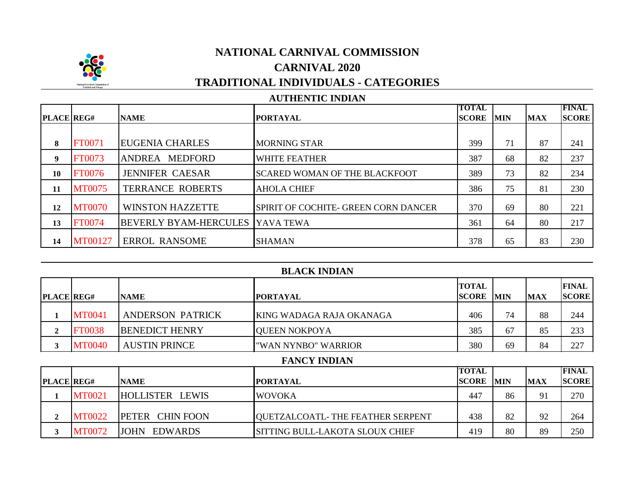

## **AUTHENTIC INDIAN**

|                   |               |                              |                                       | TOTAL        |            |            | <b>FINAL</b> |
|-------------------|---------------|------------------------------|---------------------------------------|--------------|------------|------------|--------------|
| <b>PLACE REG#</b> |               | <b>NAME</b>                  | <b>PORTAYAL</b>                       | <b>SCORE</b> | <b>MIN</b> | <b>MAX</b> | <b>SCORE</b> |
|                   |               |                              |                                       |              |            |            |              |
| 8                 | <b>FT0071</b> | <b>EUGENIA CHARLES</b>       | <b>MORNING STAR</b>                   | 399          | 71         | 87         | 241          |
| 9                 | FT0073        | <b>MEDFORD</b><br>ANDREA     | <b>WHITE FEATHER</b>                  | 387          | 68         | 82         | 237          |
| 10                | <b>FT0076</b> | <b>JENNIFER CAESAR</b>       | <b>ISCARED WOMAN OF THE BLACKFOOT</b> | 389          | 73         | 82         | 234          |
| 11                | <b>MT0075</b> | <b>TERRANCE ROBERTS</b>      | <b>AHOLA CHIEF</b>                    | 386          | 75         | 81         | 230          |
| 12                | <b>MT0070</b> | <b>WINSTON HAZZETTE</b>      | SPIRIT OF COCHITE- GREEN CORN DANCER  | 370          | 69         | 80         | 221          |
| 13                | <b>FT0074</b> | <b>BEVERLY BYAM-HERCULES</b> | <b>IYAVA TEWA</b>                     | 361          | 64         | 80         | 217          |
| 14                | MT00127       | <b>ERROL RANSOME</b>         | <b>SHAMAN</b>                         | 378          | 65         | 83         | 230          |

| <b>BLACK INDIAN</b> |               |                               |                                  |                              |            |            |                              |  |
|---------------------|---------------|-------------------------------|----------------------------------|------------------------------|------------|------------|------------------------------|--|
| <b>PLACE REG#</b>   |               | <b>NAME</b>                   | <b>PORTAYAL</b>                  | <b>TOTAL</b><br><b>SCORE</b> | <b>MIN</b> | <b>MAX</b> | <b>FINAL</b><br><b>SCORE</b> |  |
| 1                   | <b>MT0041</b> | <b>ANDERSON PATRICK</b>       | KING WADAGA RAJA OKANAGA         | 406                          | 74         | 88         | 244                          |  |
| $\mathbf{2}$        | <b>FT0038</b> | <b>BENEDICT HENRY</b>         | <b>QUEEN NOKPOYA</b>             | 385                          | 67         | 85         | 233                          |  |
| 3                   | <b>MT0040</b> | <b>AUSTIN PRINCE</b>          | "WAN NYNBO" WARRIOR              | 380                          | 69         | 84         | 227                          |  |
|                     |               |                               | <b>FANCY INDIAN</b>              |                              |            |            |                              |  |
| <b>PLACE REG#</b>   |               | <b>NAME</b>                   | <b>PORTAYAL</b>                  | <b>TOTAL</b><br><b>SCORE</b> | <b>MIN</b> | <b>MAX</b> | <b>FINAL</b><br><b>SCORE</b> |  |
| 1                   | <b>MT0021</b> | HOLLISTER LEWIS               | <b>WOVOKA</b>                    | 447                          | 86         | 91         | 270                          |  |
| $\overline{2}$      | <b>MT0022</b> | <b>CHIN FOON</b><br>PETER     | QUETZALCOATL-THE FEATHER SERPENT | 438                          | 82         | 92         | 264                          |  |
| 3                   | <b>MT0072</b> | <b>EDWARDS</b><br><b>JOHN</b> | SITTING BULL-LAKOTA SLOUX CHIEF  | 419                          | 80         | 89         | 250                          |  |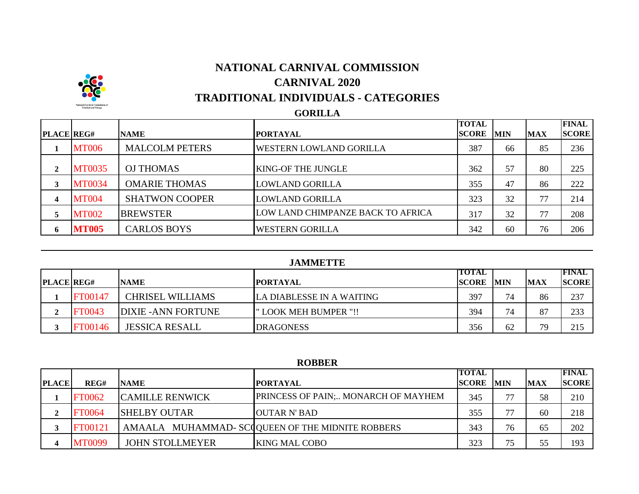# **SC**

# **NATIONAL CARNIVAL COMMISSION CARNIVAL 2020 TRADITIONAL INDIVIDUALS - CATEGORIES**

## **GORILLA**

|                   |               |                       |                                   | <b>TOTAL</b> |            |            | <b>FINAL</b> |
|-------------------|---------------|-----------------------|-----------------------------------|--------------|------------|------------|--------------|
| <b>PLACE REG#</b> |               | <b>NAME</b>           | <b>PORTAYAL</b>                   | <b>SCORE</b> | <b>MIN</b> | <b>MAX</b> | <b>SCORE</b> |
|                   | <b>MT006</b>  | <b>MALCOLM PETERS</b> | <b>WESTERN LOWLAND GORILLA</b>    | 387          | 66         | 85         | 236          |
| $\mathbf{2}$      | <b>MT0035</b> | <b>OJ THOMAS</b>      | <b>KING-OF THE JUNGLE</b>         | 362          | 57         | 80         | 225          |
| 3                 | <b>MT0034</b> | <b>OMARIE THOMAS</b>  | <b>LOWLAND GORILLA</b>            | 355          | 47         | 86         | 222          |
| 4                 | <b>MT004</b>  | <b>SHATWON COOPER</b> | <b>LOWLAND GORILLA</b>            | 323          | 32         | 77         | 214          |
| 5                 | <b>MT002</b>  | <b>BREWSTER</b>       | LOW LAND CHIMPANZE BACK TO AFRICA | 317          | 32         | 77         | 208          |
| 6                 | <b>MT005</b>  | <b>CARLOS BOYS</b>    | <b>WESTERN GORILLA</b>            | 342          | 60         | 76         | 206          |

## **JAMMETTE**

| <b>PLACE REG#</b> |                | <b>NAME</b>                | <b>IPORTAYAL</b>          | <b>TOTAL</b><br><b>SCORE</b> | <b>IMIN</b> | <b>MAX</b> | IFINAL<br><b>SCORE</b> |
|-------------------|----------------|----------------------------|---------------------------|------------------------------|-------------|------------|------------------------|
|                   | <b>FT00147</b> | <b>CHRISEL WILLIAMS</b>    | LA DIABLESSE IN A WAITING | 397                          | 74          | 86         | 237                    |
|                   | <b>FT0043</b>  | <b>DIXIE - ANN FORTUNE</b> | " LOOK MEH BUMPER "!!     | 394                          | 74          | 87         | 233                    |
|                   | <b>FT00146</b> | <b>JESSICA RESALL</b>      | <b>DRAGONESS</b>          | 356                          | 62          | 79         | 215                    |

## **ROBBER**

|              |               |                        |                                                 | <b>TOTAL</b> |            |            | <b>FINAL</b> |
|--------------|---------------|------------------------|-------------------------------------------------|--------------|------------|------------|--------------|
| <b>PLACE</b> | REG#          | <b>NAME</b>            | <b>IPORTAYAL</b>                                | <b>SCORE</b> | <b>MIN</b> | <b>MAX</b> | <b>SCORE</b> |
|              | <b>FT0062</b> | <b>CAMILLE RENWICK</b> | PRINCESS OF PAIN; MONARCH OF MAYHEM             | 345          | 77         | 58         | 210          |
| ◠            | <b>T0064</b>  | <b>SHELBY OUTAR</b>    | OUTAR N' BAD                                    | 355          | 77         | 60         | 218          |
|              | FT00121       |                        | AMAALA MUHAMMAD-SCQQUEEN OF THE MIDNITE ROBBERS | 343          | 76         | 65         | 202          |
|              | <b>MT0099</b> | <b>JOHN STOLLMEYER</b> | <b>KING MAL COBO</b>                            | 323          | 75         | 55         | 193          |